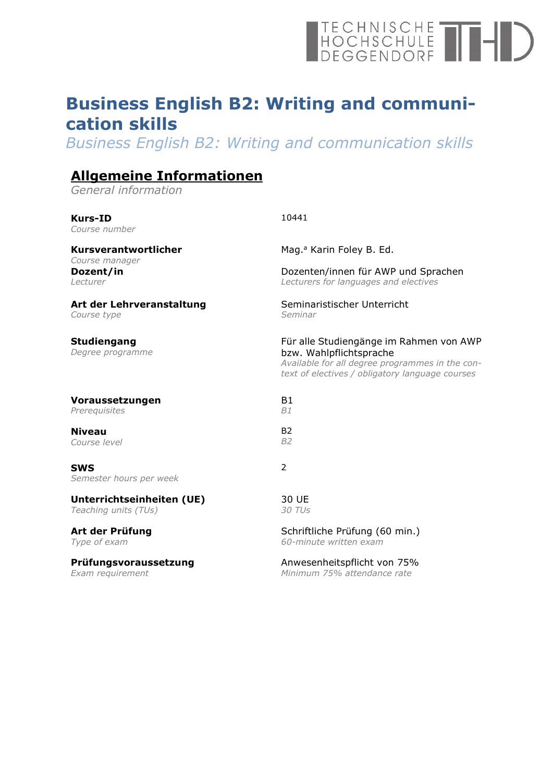# TECHNISCHE

## **Business English B2: Writing and communication skills**

*Business English B2: Writing and communication skills*

## **Allgemeine Informationen**

*General information*

| <b>Kurs-ID</b><br>Course number         | 10441                                                                                                                                                                    |
|-----------------------------------------|--------------------------------------------------------------------------------------------------------------------------------------------------------------------------|
| Kursverantwortlicher                    | Mag. <sup>a</sup> Karin Foley B. Ed.                                                                                                                                     |
| Course manager<br>Dozent/in<br>Lecturer | Dozenten/innen für AWP und Sprachen<br>Lecturers for languages and electives                                                                                             |
| Art der Lehrveranstaltung               | Seminaristischer Unterricht                                                                                                                                              |
| Course type                             | Seminar                                                                                                                                                                  |
| <b>Studiengang</b><br>Degree programme  | Für alle Studiengänge im Rahmen von AWP<br>bzw. Wahlpflichtsprache<br>Available for all degree programmes in the con-<br>text of electives / obligatory language courses |
| Voraussetzungen                         | <b>B1</b>                                                                                                                                                                |
| Prerequisites                           | B1                                                                                                                                                                       |
| <b>Niveau</b>                           | <b>B2</b>                                                                                                                                                                |
| Course level                            | <b>B2</b>                                                                                                                                                                |
| <b>SWS</b><br>Semester hours per week   | 2                                                                                                                                                                        |
| Unterrichtseinheiten (UE)               | 30 UE                                                                                                                                                                    |
| Teaching units (TUs)                    | 30 TUs                                                                                                                                                                   |
| Art der Prüfung                         | Schriftliche Prüfung (60 min.)                                                                                                                                           |
| Type of exam                            | 60-minute written exam                                                                                                                                                   |
| Prüfungsvoraussetzung                   | Anwesenheitspflicht von 75%                                                                                                                                              |
| Exam requirement                        | Minimum 75% attendance rate                                                                                                                                              |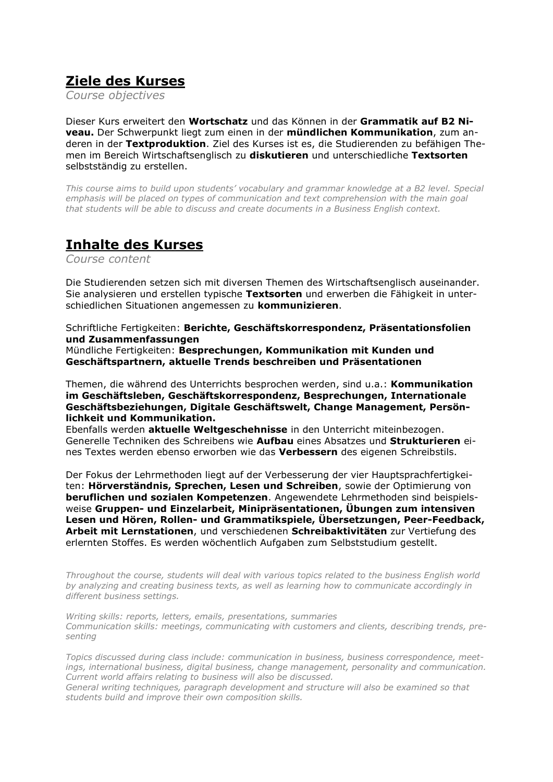#### **Ziele des Kurses**

*Course objectives*

Dieser Kurs erweitert den **Wortschatz** und das Können in der **Grammatik auf B2 Niveau.** Der Schwerpunkt liegt zum einen in der **mündlichen Kommunikation**, zum anderen in der **Textproduktion**. Ziel des Kurses ist es, die Studierenden zu befähigen Themen im Bereich Wirtschaftsenglisch zu **diskutieren** und unterschiedliche **Textsorten** selbstständig zu erstellen.

*This course aims to build upon students' vocabulary and grammar knowledge at a B2 level. Special*  emphasis will be placed on types of communication and text comprehension with the main goal *that students will be able to discuss and create documents in a Business English context.*

#### **Inhalte des Kurses**

*Course content*

Die Studierenden setzen sich mit diversen Themen des Wirtschaftsenglisch auseinander. Sie analysieren und erstellen typische **Textsorten** und erwerben die Fähigkeit in unterschiedlichen Situationen angemessen zu **kommunizieren**.

Schriftliche Fertigkeiten: **Berichte, Geschäftskorrespondenz, Präsentationsfolien und Zusammenfassungen**

Mündliche Fertigkeiten: **Besprechungen, Kommunikation mit Kunden und Geschäftspartnern, aktuelle Trends beschreiben und Präsentationen**

Themen, die während des Unterrichts besprochen werden, sind u.a.: **Kommunikation im Geschäftsleben, Geschäftskorrespondenz, Besprechungen, Internationale Geschäftsbeziehungen, Digitale Geschäftswelt, Change Management, Persönlichkeit und Kommunikation.**

Ebenfalls werden **aktuelle Weltgeschehnisse** in den Unterricht miteinbezogen. Generelle Techniken des Schreibens wie **Aufbau** eines Absatzes und **Strukturieren** eines Textes werden ebenso erworben wie das **Verbessern** des eigenen Schreibstils.

Der Fokus der Lehrmethoden liegt auf der Verbesserung der vier Hauptsprachfertigkeiten: **Hörverständnis, Sprechen, Lesen und Schreiben**, sowie der Optimierung von **beruflichen und sozialen Kompetenzen**. Angewendete Lehrmethoden sind beispielsweise **Gruppen- und Einzelarbeit, Minipräsentationen, Übungen zum intensiven Lesen und Hören, Rollen- und Grammatikspiele, Übersetzungen, Peer-Feedback, Arbeit mit Lernstationen**, und verschiedenen **Schreibaktivitäten** zur Vertiefung des erlernten Stoffes. Es werden wöchentlich Aufgaben zum Selbststudium gestellt.

*Throughout the course, students will deal with various topics related to the business English world by analyzing and creating business texts, as well as learning how to communicate accordingly in different business settings.*

*Writing skills: reports, letters, emails, presentations, summaries Communication skills: meetings, communicating with customers and clients, describing trends, presenting* 

*Topics discussed during class include: communication in business, business correspondence, meetings, international business, digital business, change management, personality and communication. Current world affairs relating to business will also be discussed.*

*General writing techniques, paragraph development and structure will also be examined so that students build and improve their own composition skills.*